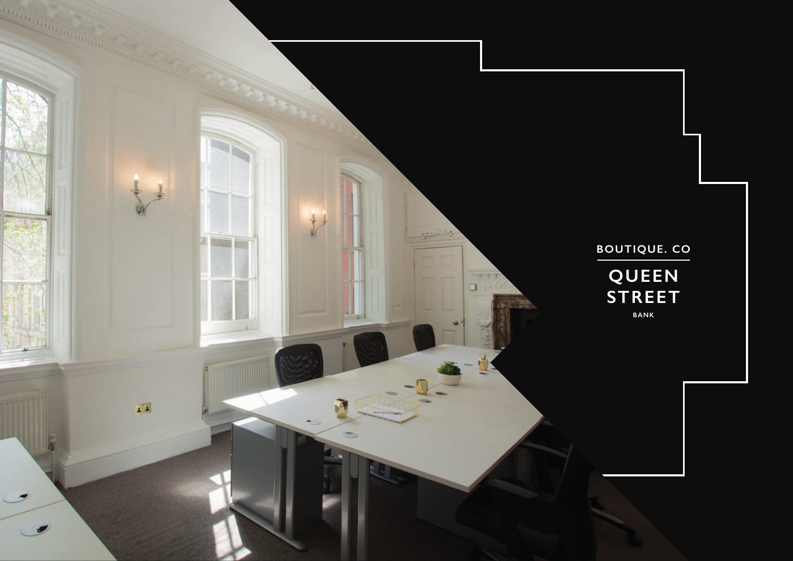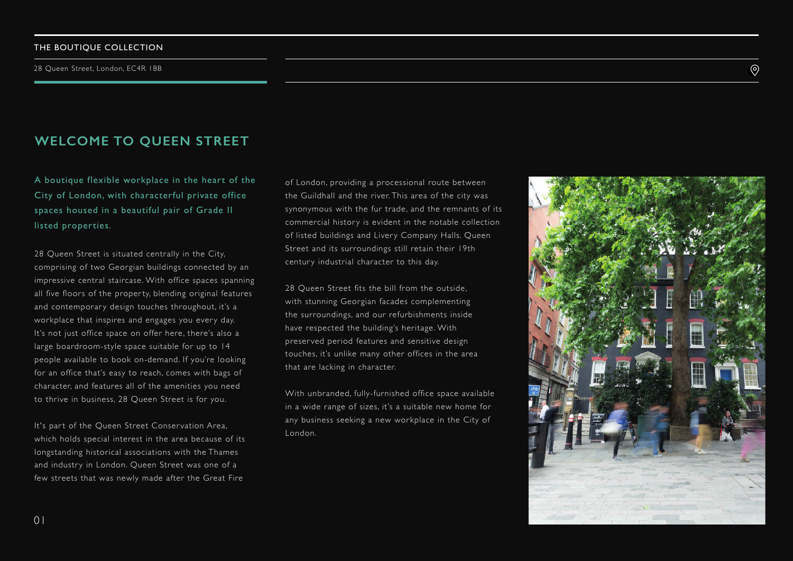# **WELCOME TO QUEEN STREET**

A boutique flexible workplace in the heart of the City of London, with characterful private office spaces housed in a beautiful pair of Grade II listed properties.

28 Queen Street is situated centrally in the City, comprising of two Georgian buildings connected by an impressive central staircase. With office spaces spanning all five floors of the property, blending original features and contemporary design touches throughout, it's a workplace that inspires and engages you every day. It's not just office space on offer here, there's also a large boardroom-style space suitable for up to 14 people available to book on-demand. If you're looking for an office that's easy to reach, comes with bags of character, and features all of the amenities you need to thrive in business, 28 Queen Street is for you.

It's part of the Queen Street Conservation Area, which holds special interest in the area because of its longstanding historical associations with the Thames and industry in London. Queen Street was one of a few streets that was newly made after the Great Fire

of London, providing a processional route between the Guildhall and the river. This area of the city was synonymous with the fur trade, and the remnants of its commercial history is evident in the notable collection of listed buildings and Livery Company Halls. Queen Street and its surroundings still retain their 19th century industrial character to this day.

28 Queen Street fits the bill from the outside. with stunning Georgian facades complementing the surroundings, and our refurbishments inside have respected the building's heritage. With preser ved period features and sensitive design touches, it's unlike many other offices in the area that are lacking in character.

With unbranded, fully-furnished office space available in a wide range of sizes, it's a suitable new home for any business seeking a new workplace in the City of London.



 $\circledcirc$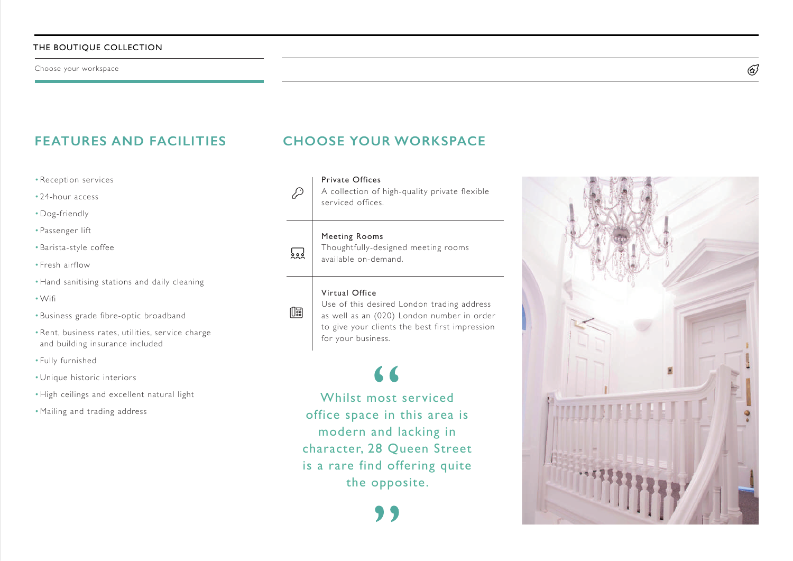# **FEATURES AND FACILITIES**

- •Reception services
- 24-hour access
- •Dog-friendly
- Passenger lift
- •Barista-style coffee
- Fresh airflow
- •Hand sanitising stations and daily cleaning
- •Wifi
- •Business grade fibre-optic broadband
- •Rent, business rates, utilities, ser vice charge and building insurance included
- Fully furnished
- •Unique historic interiors
- •High ceilings and excellent natural light
- •Mailing and trading address

# **CHOOSE YOUR WORKSPACE**

Private Offices A collection of high-quality private flexible serviced offices.

#### Meeting Rooms

 $\overline{\mathbf{S}}$ 

 $\mathbb{R}$ 

D

Thoughtfully-designed meeting rooms available on-demand.

### Virtual Office

Use of this desired London trading address as well as an (020) London number in order to give your clients the best first impression for your business.

Whilst most serviced office space in this area is modern and lacking in character, 28 Queen Street is a rare find offering quite the opposite.



 $\widetilde{\mathbb{G}}$